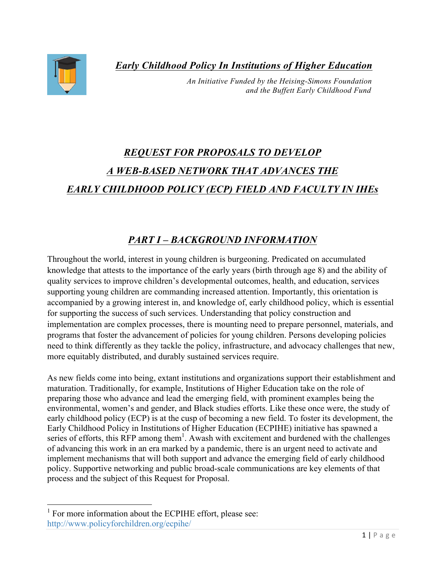*Early Childhood Policy In Institutions of Higher Education*



 *An Initiative Funded by the Heising-Simons Foundation and the Buffett Early Childhood Fund* 

# *REQUEST FOR PROPOSALS TO DEVELOP A WEB-BASED NETWORK THAT ADVANCES THE EARLY CHILDHOOD POLICY (ECP) FIELD AND FACULTY IN IHEs*

# *PART I – BACKGROUND INFORMATION*

Throughout the world, interest in young children is burgeoning. Predicated on accumulated knowledge that attests to the importance of the early years (birth through age 8) and the ability of quality services to improve children's developmental outcomes, health, and education, services supporting young children are commanding increased attention. Importantly, this orientation is accompanied by a growing interest in, and knowledge of, early childhood policy, which is essential for supporting the success of such services. Understanding that policy construction and implementation are complex processes, there is mounting need to prepare personnel, materials, and programs that foster the advancement of policies for young children. Persons developing policies need to think differently as they tackle the policy, infrastructure, and advocacy challenges that new, more equitably distributed, and durably sustained services require.

As new fields come into being, extant institutions and organizations support their establishment and maturation. Traditionally, for example, Institutions of Higher Education take on the role of preparing those who advance and lead the emerging field, with prominent examples being the environmental, women's and gender, and Black studies efforts. Like these once were, the study of early childhood policy (ECP) is at the cusp of becoming a new field. To foster its development, the Early Childhood Policy in Institutions of Higher Education (ECPIHE) initiative has spawned a series of efforts, this RFP among them<sup>1</sup>. Awash with excitement and burdened with the challenges of advancing this work in an era marked by a pandemic, there is an urgent need to activate and implement mechanisms that will both support and advance the emerging field of early childhood policy. Supportive networking and public broad-scale communications are key elements of that process and the subject of this Request for Proposal.

 $<sup>1</sup>$  For more information about the ECPIHE effort, please see:</sup> http://www.policyforchildren.org/ecpihe/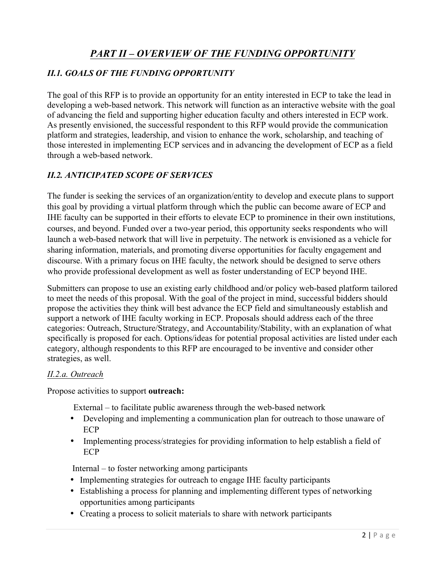# *PART II – OVERVIEW OF THE FUNDING OPPORTUNITY*

# *II.1. GOALS OF THE FUNDING OPPORTUNITY*

The goal of this RFP is to provide an opportunity for an entity interested in ECP to take the lead in developing a web-based network. This network will function as an interactive website with the goal of advancing the field and supporting higher education faculty and others interested in ECP work. As presently envisioned, the successful respondent to this RFP would provide the communication platform and strategies, leadership, and vision to enhance the work, scholarship, and teaching of those interested in implementing ECP services and in advancing the development of ECP as a field through a web-based network.

# *II.2. ANTICIPATED SCOPE OF SERVICES*

The funder is seeking the services of an organization/entity to develop and execute plans to support this goal by providing a virtual platform through which the public can become aware of ECP and IHE faculty can be supported in their efforts to elevate ECP to prominence in their own institutions, courses, and beyond. Funded over a two-year period, this opportunity seeks respondents who will launch a web-based network that will live in perpetuity. The network is envisioned as a vehicle for sharing information, materials, and promoting diverse opportunities for faculty engagement and discourse. With a primary focus on IHE faculty, the network should be designed to serve others who provide professional development as well as foster understanding of ECP beyond IHE.

Submitters can propose to use an existing early childhood and/or policy web-based platform tailored to meet the needs of this proposal. With the goal of the project in mind, successful bidders should propose the activities they think will best advance the ECP field and simultaneously establish and support a network of IHE faculty working in ECP. Proposals should address each of the three categories: Outreach, Structure/Strategy, and Accountability/Stability, with an explanation of what specifically is proposed for each. Options/ideas for potential proposal activities are listed under each category, although respondents to this RFP are encouraged to be inventive and consider other strategies, as well.

#### *II.2.a. Outreach*

Propose activities to support **outreach:** 

External – to facilitate public awareness through the web-based network

- Developing and implementing a communication plan for outreach to those unaware of ECP
- Implementing process/strategies for providing information to help establish a field of ECP

Internal – to foster networking among participants

- Implementing strategies for outreach to engage IHE faculty participants
- Establishing a process for planning and implementing different types of networking opportunities among participants
- Creating a process to solicit materials to share with network participants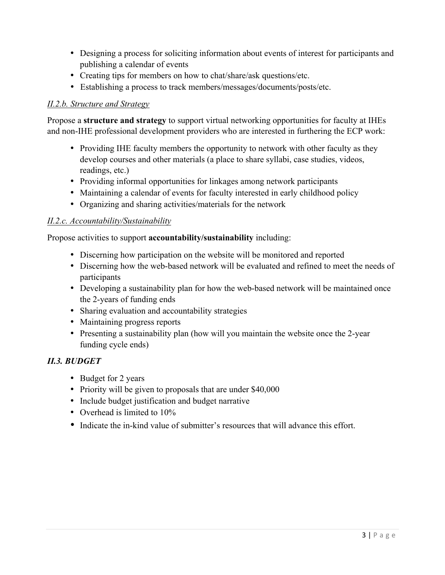- Designing a process for soliciting information about events of interest for participants and publishing a calendar of events
- Creating tips for members on how to chat/share/ask questions/etc.
- Establishing a process to track members/messages/documents/posts/etc.

# *II.2.b. Structure and Strategy*

Propose a **structure and strategy** to support virtual networking opportunities for faculty at IHEs and non-IHE professional development providers who are interested in furthering the ECP work:

- Providing IHE faculty members the opportunity to network with other faculty as they develop courses and other materials (a place to share syllabi, case studies, videos, readings, etc.)
- Providing informal opportunities for linkages among network participants
- Maintaining a calendar of events for faculty interested in early childhood policy
- Organizing and sharing activities/materials for the network

# *II.2.c. Accountability/Sustainability*

Propose activities to support **accountability/sustainability** including:

- Discerning how participation on the website will be monitored and reported
- Discerning how the web-based network will be evaluated and refined to meet the needs of participants
- Developing a sustainability plan for how the web-based network will be maintained once the 2-years of funding ends
- Sharing evaluation and accountability strategies
- Maintaining progress reports
- Presenting a sustainability plan (how will you maintain the website once the 2-year funding cycle ends)

# *II.3. BUDGET*

- Budget for 2 years
- Priority will be given to proposals that are under \$40,000
- Include budget justification and budget narrative
- Overhead is limited to 10%
- Indicate the in-kind value of submitter's resources that will advance this effort.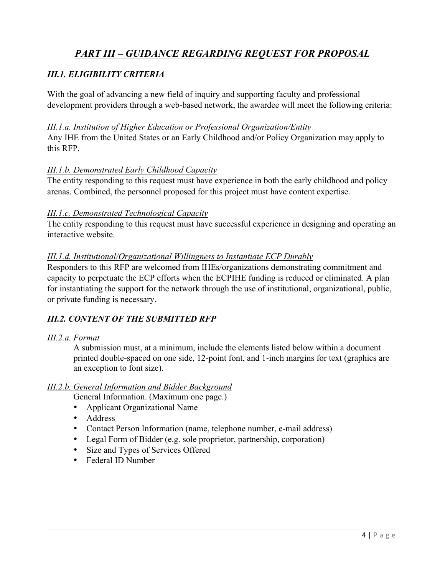# *PART III – GUIDANCE REGARDING REQUEST FOR PROPOSAL*

# *III.1. ELIGIBILITY CRITERIA*

With the goal of advancing a new field of inquiry and supporting faculty and professional development providers through a web-based network, the awardee will meet the following criteria:

## *III.1.a. Institution of Higher Education or Professional Organization/Entity*

Any IHE from the United States or an Early Childhood and/or Policy Organization may apply to this RFP.

# *III.1.b. Demonstrated Early Childhood Capacity*

The entity responding to this request must have experience in both the early childhood and policy arenas. Combined, the personnel proposed for this project must have content expertise.

# *III.1.c. Demonstrated Technological Capacity*

The entity responding to this request must have successful experience in designing and operating an interactive website.

## *III.1.d. Institutional/Organizational Willingness to Instantiate ECP Durably*

Responders to this RFP are welcomed from IHEs/organizations demonstrating commitment and capacity to perpetuate the ECP efforts when the ECPIHE funding is reduced or eliminated. A plan for instantiating the support for the network through the use of institutional, organizational, public, or private funding is necessary.

# *III.2. CONTENT OF THE SUBMITTED RFP*

## *III.2.a. Format*

A submission must, at a minimum, include the elements listed below within a document printed double-spaced on one side, 12-point font, and 1-inch margins for text (graphics are an exception to font size).

## *III.2.b. General Information and Bidder Background*

General Information. (Maximum one page.)

- Applicant Organizational Name
- Address
- Contact Person Information (name, telephone number, e-mail address)
- Legal Form of Bidder (e.g. sole proprietor, partnership, corporation)
- Size and Types of Services Offered
- Federal ID Number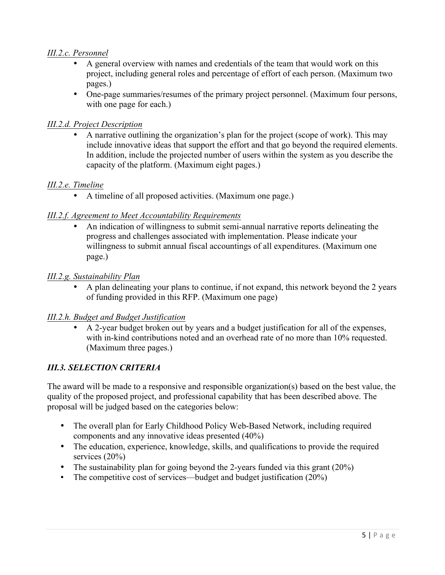# *III.2.c. Personnel*

- A general overview with names and credentials of the team that would work on this project, including general roles and percentage of effort of each person. (Maximum two pages.)
- One-page summaries/resumes of the primary project personnel. (Maximum four persons, with one page for each.)

## *III.2.d. Project Description*

• A narrative outlining the organization's plan for the project (scope of work). This may include innovative ideas that support the effort and that go beyond the required elements. In addition, include the projected number of users within the system as you describe the capacity of the platform. (Maximum eight pages.)

## *III.2.e. Timeline*

• A timeline of all proposed activities. (Maximum one page.)

# *III.2.f. Agreement to Meet Accountability Requirements*

• An indication of willingness to submit semi-annual narrative reports delineating the progress and challenges associated with implementation. Please indicate your willingness to submit annual fiscal accountings of all expenditures. (Maximum one page.)

## *III.2.g. Sustainability Plan*

• A plan delineating your plans to continue, if not expand, this network beyond the 2 years of funding provided in this RFP. (Maximum one page)

## *III.2.h. Budget and Budget Justification*

• A 2-year budget broken out by years and a budget justification for all of the expenses, with in-kind contributions noted and an overhead rate of no more than 10% requested. (Maximum three pages.)

# *III.3. SELECTION CRITERIA*

The award will be made to a responsive and responsible organization(s) based on the best value, the quality of the proposed project, and professional capability that has been described above. The proposal will be judged based on the categories below:

- The overall plan for Early Childhood Policy Web-Based Network, including required components and any innovative ideas presented (40%)
- The education, experience, knowledge, skills, and qualifications to provide the required services (20%)
- The sustainability plan for going beyond the 2-years funded via this grant (20%)
- The competitive cost of services—budget and budget justification (20%)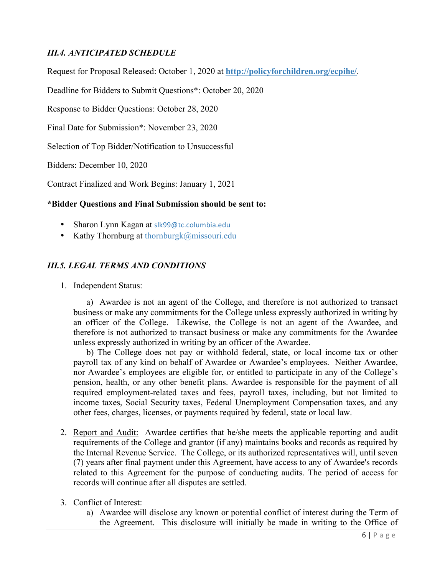# *III.4. ANTICIPATED SCHEDULE*

Request for Proposal Released: October 1, 2020 at **http://policyforchildren.org/ecpihe/**.

Deadline for Bidders to Submit Questions\*: October 20, 2020

Response to Bidder Questions: October 28, 2020

Final Date for Submission\*: November 23, 2020

Selection of Top Bidder/Notification to Unsuccessful

Bidders: December 10, 2020

Contract Finalized and Work Begins: January 1, 2021

## **\*Bidder Questions and Final Submission should be sent to:**

- Sharon Lynn Kagan at slk99@tc.columbia.edu
- Kathy Thornburg at thornburgk@missouri.edu

# *III.5. LEGAL TERMS AND CONDITIONS*

1. Independent Status:

a) Awardee is not an agent of the College, and therefore is not authorized to transact business or make any commitments for the College unless expressly authorized in writing by an officer of the College. Likewise, the College is not an agent of the Awardee, and therefore is not authorized to transact business or make any commitments for the Awardee unless expressly authorized in writing by an officer of the Awardee.

b) The College does not pay or withhold federal, state, or local income tax or other payroll tax of any kind on behalf of Awardee or Awardee's employees. Neither Awardee, nor Awardee's employees are eligible for, or entitled to participate in any of the College's pension, health, or any other benefit plans. Awardee is responsible for the payment of all required employment-related taxes and fees, payroll taxes, including, but not limited to income taxes, Social Security taxes, Federal Unemployment Compensation taxes, and any other fees, charges, licenses, or payments required by federal, state or local law.

- 2. Report and Audit: Awardee certifies that he/she meets the applicable reporting and audit requirements of the College and grantor (if any) maintains books and records as required by the Internal Revenue Service. The College, or its authorized representatives will, until seven (7) years after final payment under this Agreement, have access to any of Awardee's records related to this Agreement for the purpose of conducting audits. The period of access for records will continue after all disputes are settled.
- 3. Conflict of Interest:
	- a) Awardee will disclose any known or potential conflict of interest during the Term of the Agreement. This disclosure will initially be made in writing to the Office of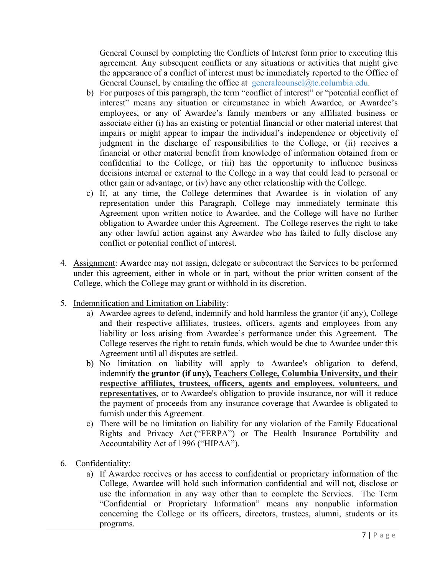General Counsel by completing the Conflicts of Interest form prior to executing this agreement. Any subsequent conflicts or any situations or activities that might give the appearance of a conflict of interest must be immediately reported to the Office of General Counsel, by emailing the office at general counsel (a)tc.columbia.edu.

- b) For purposes of this paragraph, the term "conflict of interest" or "potential conflict of interest" means any situation or circumstance in which Awardee, or Awardee's employees, or any of Awardee's family members or any affiliated business or associate either (i) has an existing or potential financial or other material interest that impairs or might appear to impair the individual's independence or objectivity of judgment in the discharge of responsibilities to the College, or (ii) receives a financial or other material benefit from knowledge of information obtained from or confidential to the College, or (iii) has the opportunity to influence business decisions internal or external to the College in a way that could lead to personal or other gain or advantage, or (iv) have any other relationship with the College.
- c) If, at any time, the College determines that Awardee is in violation of any representation under this Paragraph, College may immediately terminate this Agreement upon written notice to Awardee, and the College will have no further obligation to Awardee under this Agreement. The College reserves the right to take any other lawful action against any Awardee who has failed to fully disclose any conflict or potential conflict of interest.
- 4. Assignment: Awardee may not assign, delegate or subcontract the Services to be performed under this agreement, either in whole or in part, without the prior written consent of the College, which the College may grant or withhold in its discretion.
- 5. Indemnification and Limitation on Liability:
	- a) Awardee agrees to defend, indemnify and hold harmless the grantor (if any), College and their respective affiliates, trustees, officers, agents and employees from any liability or loss arising from Awardee's performance under this Agreement. The College reserves the right to retain funds, which would be due to Awardee under this Agreement until all disputes are settled.
	- b) No limitation on liability will apply to Awardee's obligation to defend, indemnify **the grantor (if any), Teachers College, Columbia University, and their respective affiliates, trustees, officers, agents and employees, volunteers, and representatives**, or to Awardee's obligation to provide insurance, nor will it reduce the payment of proceeds from any insurance coverage that Awardee is obligated to furnish under this Agreement.
	- c) There will be no limitation on liability for any violation of the Family Educational Rights and Privacy Act ("FERPA") or The Health Insurance Portability and Accountability Act of 1996 ("HIPAA").
- 6. Confidentiality:
	- a) If Awardee receives or has access to confidential or proprietary information of the College, Awardee will hold such information confidential and will not, disclose or use the information in any way other than to complete the Services. The Term "Confidential or Proprietary Information" means any nonpublic information concerning the College or its officers, directors, trustees, alumni, students or its programs.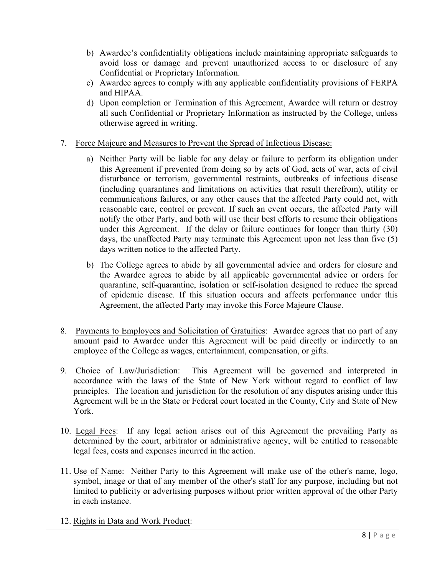- b) Awardee's confidentiality obligations include maintaining appropriate safeguards to avoid loss or damage and prevent unauthorized access to or disclosure of any Confidential or Proprietary Information.
- c) Awardee agrees to comply with any applicable confidentiality provisions of FERPA and HIPAA.
- d) Upon completion or Termination of this Agreement, Awardee will return or destroy all such Confidential or Proprietary Information as instructed by the College, unless otherwise agreed in writing.
- 7. Force Majeure and Measures to Prevent the Spread of Infectious Disease:
	- a) Neither Party will be liable for any delay or failure to perform its obligation under this Agreement if prevented from doing so by acts of God, acts of war, acts of civil disturbance or terrorism, governmental restraints, outbreaks of infectious disease (including quarantines and limitations on activities that result therefrom), utility or communications failures, or any other causes that the affected Party could not, with reasonable care, control or prevent. If such an event occurs, the affected Party will notify the other Party, and both will use their best efforts to resume their obligations under this Agreement. If the delay or failure continues for longer than thirty (30) days, the unaffected Party may terminate this Agreement upon not less than five (5) days written notice to the affected Party.
	- b) The College agrees to abide by all governmental advice and orders for closure and the Awardee agrees to abide by all applicable governmental advice or orders for quarantine, self-quarantine, isolation or self-isolation designed to reduce the spread of epidemic disease. If this situation occurs and affects performance under this Agreement, the affected Party may invoke this Force Majeure Clause.
- 8. Payments to Employees and Solicitation of Gratuities: Awardee agrees that no part of any amount paid to Awardee under this Agreement will be paid directly or indirectly to an employee of the College as wages, entertainment, compensation, or gifts.
- 9. Choice of Law/Jurisdiction: This Agreement will be governed and interpreted in accordance with the laws of the State of New York without regard to conflict of law principles. The location and jurisdiction for the resolution of any disputes arising under this Agreement will be in the State or Federal court located in the County, City and State of New York.
- 10. Legal Fees: If any legal action arises out of this Agreement the prevailing Party as determined by the court, arbitrator or administrative agency, will be entitled to reasonable legal fees, costs and expenses incurred in the action.
- 11. Use of Name: Neither Party to this Agreement will make use of the other's name, logo, symbol, image or that of any member of the other's staff for any purpose, including but not limited to publicity or advertising purposes without prior written approval of the other Party in each instance.
- 12. Rights in Data and Work Product: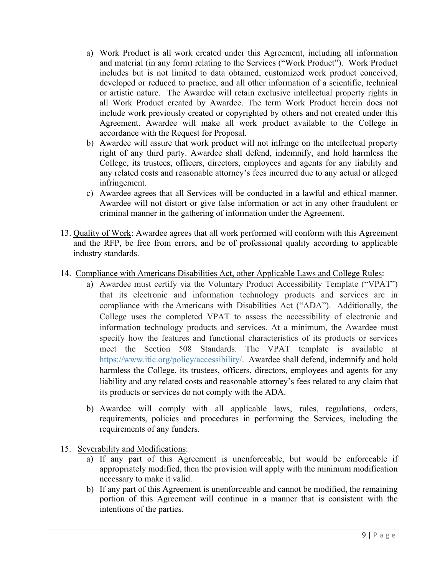- a) Work Product is all work created under this Agreement, including all information and material (in any form) relating to the Services ("Work Product"). Work Product includes but is not limited to data obtained, customized work product conceived, developed or reduced to practice, and all other information of a scientific, technical or artistic nature. The Awardee will retain exclusive intellectual property rights in all Work Product created by Awardee. The term Work Product herein does not include work previously created or copyrighted by others and not created under this Agreement. Awardee will make all work product available to the College in accordance with the Request for Proposal.
- b) Awardee will assure that work product will not infringe on the intellectual property right of any third party. Awardee shall defend, indemnify, and hold harmless the College, its trustees, officers, directors, employees and agents for any liability and any related costs and reasonable attorney's fees incurred due to any actual or alleged infringement.
- c) Awardee agrees that all Services will be conducted in a lawful and ethical manner. Awardee will not distort or give false information or act in any other fraudulent or criminal manner in the gathering of information under the Agreement.
- 13. Quality of Work: Awardee agrees that all work performed will conform with this Agreement and the RFP, be free from errors, and be of professional quality according to applicable industry standards.
- 14. Compliance with Americans Disabilities Act, other Applicable Laws and College Rules:
	- a) Awardee must certify via the Voluntary Product Accessibility Template ("VPAT") that its electronic and information technology products and services are in compliance with the Americans with Disabilities Act ("ADA"). Additionally, the College uses the completed VPAT to assess the accessibility of electronic and information technology products and services. At a minimum, the Awardee must specify how the features and functional characteristics of its products or services meet the Section 508 Standards. The VPAT template is available at https://www.itic.org/policy/accessibility/. Awardee shall defend, indemnify and hold harmless the College, its trustees, officers, directors, employees and agents for any liability and any related costs and reasonable attorney's fees related to any claim that its products or services do not comply with the ADA.
	- b) Awardee will comply with all applicable laws, rules, regulations, orders, requirements, policies and procedures in performing the Services, including the requirements of any funders.
- 15. Severability and Modifications:
	- a) If any part of this Agreement is unenforceable, but would be enforceable if appropriately modified, then the provision will apply with the minimum modification necessary to make it valid.
	- b) If any part of this Agreement is unenforceable and cannot be modified, the remaining portion of this Agreement will continue in a manner that is consistent with the intentions of the parties.